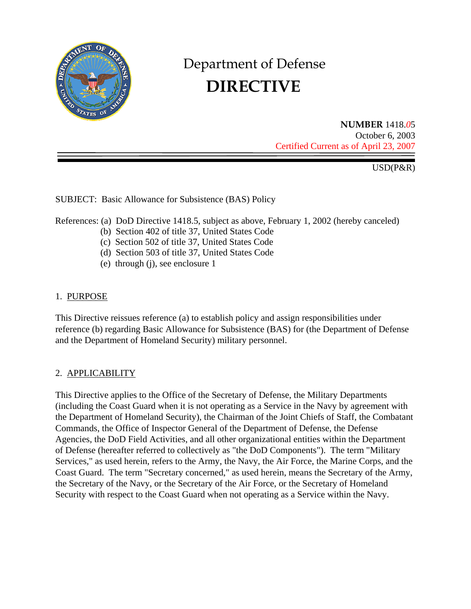

# Department of Defense  **DIRECTIVE**

**NUMBER** 1418.*0*5 October 6, 2003 Certified Current as of April 23, 2007

USD(P&R)

SUBJECT: Basic Allowance for Subsistence (BAS) Policy

References: (a) DoD Directive 1418.5, subject as above, February 1, 2002 (hereby canceled)

- (b) Section 402 of title 37, United States Code
- (c) Section 502 of title 37, United States Code
- (d) Section 503 of title 37, United States Code
- (e) through (j), see enclosure 1

## 1. PURPOSE

This Directive reissues reference (a) to establish policy and assign responsibilities under reference (b) regarding Basic Allowance for Subsistence (BAS) for (the Department of Defense and the Department of Homeland Security) military personnel.

## 2. APPLICABILITY

This Directive applies to the Office of the Secretary of Defense, the Military Departments (including the Coast Guard when it is not operating as a Service in the Navy by agreement with the Department of Homeland Security), the Chairman of the Joint Chiefs of Staff, the Combatant Commands, the Office of Inspector General of the Department of Defense, the Defense Agencies, the DoD Field Activities, and all other organizational entities within the Department of Defense (hereafter referred to collectively as "the DoD Components"). The term "Military Services," as used herein, refers to the Army, the Navy, the Air Force, the Marine Corps, and the Coast Guard. The term "Secretary concerned," as used herein, means the Secretary of the Army, the Secretary of the Navy, or the Secretary of the Air Force, or the Secretary of Homeland Security with respect to the Coast Guard when not operating as a Service within the Navy.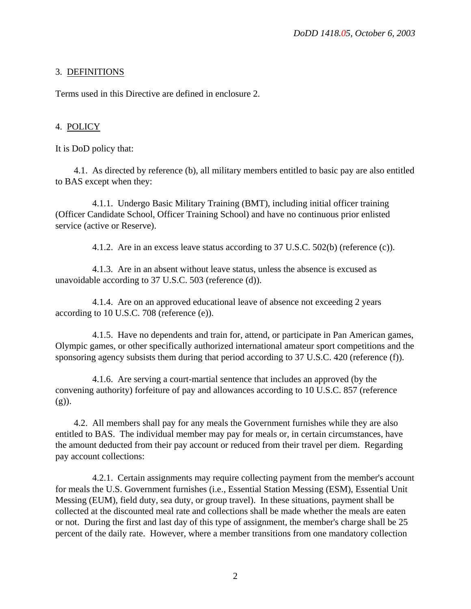# 3. DEFINITIONS

Terms used in this Directive are defined in enclosure 2.

## 4. POLICY

It is DoD policy that:

4.1. As directed by reference (b), all military members entitled to basic pay are also entitled to BAS except when they:

4.1.1. Undergo Basic Military Training (BMT), including initial officer training (Officer Candidate School, Officer Training School) and have no continuous prior enlisted service (active or Reserve).

4.1.2. Are in an excess leave status according to 37 U.S.C. 502(b) (reference (c)).

4.1.3. Are in an absent without leave status, unless the absence is excused as unavoidable according to 37 U.S.C. 503 (reference (d)).

4.1.4. Are on an approved educational leave of absence not exceeding 2 years according to 10 U.S.C. 708 (reference (e)).

4.1.5. Have no dependents and train for, attend, or participate in Pan American games, Olympic games, or other specifically authorized international amateur sport competitions and the sponsoring agency subsists them during that period according to 37 U.S.C. 420 (reference (f)).

4.1.6. Are serving a court-martial sentence that includes an approved (by the convening authority) forfeiture of pay and allowances according to 10 U.S.C. 857 (reference (g)).

4.2. All members shall pay for any meals the Government furnishes while they are also entitled to BAS. The individual member may pay for meals or, in certain circumstances, have the amount deducted from their pay account or reduced from their travel per diem. Regarding pay account collections:

4.2.1. Certain assignments may require collecting payment from the member's account for meals the U.S. Government furnishes (i.e., Essential Station Messing (ESM), Essential Unit Messing (EUM), field duty, sea duty, or group travel). In these situations, payment shall be collected at the discounted meal rate and collections shall be made whether the meals are eaten or not. During the first and last day of this type of assignment, the member's charge shall be 25 percent of the daily rate. However, where a member transitions from one mandatory collection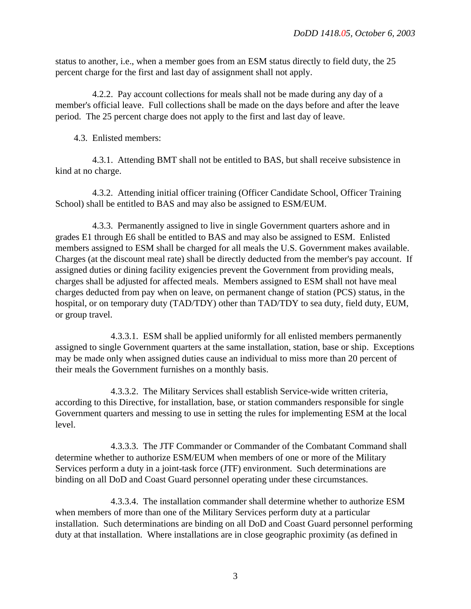status to another, i.e., when a member goes from an ESM status directly to field duty, the 25 percent charge for the first and last day of assignment shall not apply.

4.2.2. Pay account collections for meals shall not be made during any day of a member's official leave. Full collections shall be made on the days before and after the leave period. The 25 percent charge does not apply to the first and last day of leave.

4.3. Enlisted members:

4.3.1. Attending BMT shall not be entitled to BAS, but shall receive subsistence in kind at no charge.

4.3.2. Attending initial officer training (Officer Candidate School, Officer Training School) shall be entitled to BAS and may also be assigned to ESM/EUM.

4.3.3. Permanently assigned to live in single Government quarters ashore and in grades E1 through E6 shall be entitled to BAS and may also be assigned to ESM. Enlisted members assigned to ESM shall be charged for all meals the U.S. Government makes available. Charges (at the discount meal rate) shall be directly deducted from the member's pay account. If assigned duties or dining facility exigencies prevent the Government from providing meals, charges shall be adjusted for affected meals. Members assigned to ESM shall not have meal charges deducted from pay when on leave, on permanent change of station (PCS) status, in the hospital, or on temporary duty (TAD/TDY) other than TAD/TDY to sea duty, field duty, EUM, or group travel.

4.3.3.1. ESM shall be applied uniformly for all enlisted members permanently assigned to single Government quarters at the same installation, station, base or ship. Exceptions may be made only when assigned duties cause an individual to miss more than 20 percent of their meals the Government furnishes on a monthly basis.

4.3.3.2. The Military Services shall establish Service-wide written criteria, according to this Directive, for installation, base, or station commanders responsible for single Government quarters and messing to use in setting the rules for implementing ESM at the local level.

4.3.3.3. The JTF Commander or Commander of the Combatant Command shall determine whether to authorize ESM/EUM when members of one or more of the Military Services perform a duty in a joint-task force (JTF) environment. Such determinations are binding on all DoD and Coast Guard personnel operating under these circumstances.

4.3.3.4. The installation commander shall determine whether to authorize ESM when members of more than one of the Military Services perform duty at a particular installation. Such determinations are binding on all DoD and Coast Guard personnel performing duty at that installation. Where installations are in close geographic proximity (as defined in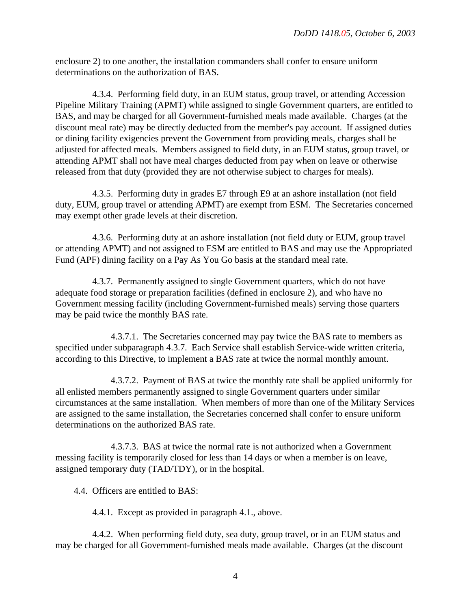enclosure 2) to one another, the installation commanders shall confer to ensure uniform determinations on the authorization of BAS.

4.3.4. Performing field duty, in an EUM status, group travel, or attending Accession Pipeline Military Training (APMT) while assigned to single Government quarters, are entitled to BAS, and may be charged for all Government-furnished meals made available. Charges (at the discount meal rate) may be directly deducted from the member's pay account. If assigned duties or dining facility exigencies prevent the Government from providing meals, charges shall be adjusted for affected meals. Members assigned to field duty, in an EUM status, group travel, or attending APMT shall not have meal charges deducted from pay when on leave or otherwise released from that duty (provided they are not otherwise subject to charges for meals).

4.3.5. Performing duty in grades E7 through E9 at an ashore installation (not field duty, EUM, group travel or attending APMT) are exempt from ESM. The Secretaries concerned may exempt other grade levels at their discretion.

4.3.6. Performing duty at an ashore installation (not field duty or EUM, group travel or attending APMT) and not assigned to ESM are entitled to BAS and may use the Appropriated Fund (APF) dining facility on a Pay As You Go basis at the standard meal rate.

4.3.7. Permanently assigned to single Government quarters, which do not have adequate food storage or preparation facilities (defined in enclosure 2), and who have no Government messing facility (including Government-furnished meals) serving those quarters may be paid twice the monthly BAS rate.

4.3.7.1. The Secretaries concerned may pay twice the BAS rate to members as specified under subparagraph 4.3.7. Each Service shall establish Service-wide written criteria, according to this Directive, to implement a BAS rate at twice the normal monthly amount.

4.3.7.2. Payment of BAS at twice the monthly rate shall be applied uniformly for all enlisted members permanently assigned to single Government quarters under similar circumstances at the same installation. When members of more than one of the Military Services are assigned to the same installation, the Secretaries concerned shall confer to ensure uniform determinations on the authorized BAS rate.

4.3.7.3. BAS at twice the normal rate is not authorized when a Government messing facility is temporarily closed for less than 14 days or when a member is on leave, assigned temporary duty (TAD/TDY), or in the hospital.

4.4. Officers are entitled to BAS:

4.4.1. Except as provided in paragraph 4.1., above.

4.4.2. When performing field duty, sea duty, group travel, or in an EUM status and may be charged for all Government-furnished meals made available. Charges (at the discount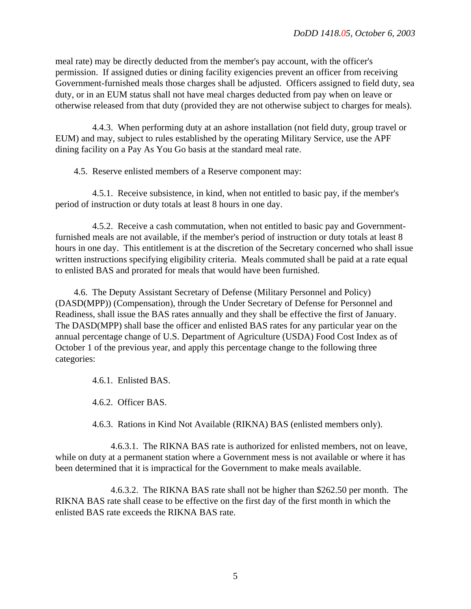meal rate) may be directly deducted from the member's pay account, with the officer's permission. If assigned duties or dining facility exigencies prevent an officer from receiving Government-furnished meals those charges shall be adjusted. Officers assigned to field duty, sea duty, or in an EUM status shall not have meal charges deducted from pay when on leave or otherwise released from that duty (provided they are not otherwise subject to charges for meals).

4.4.3. When performing duty at an ashore installation (not field duty, group travel or EUM) and may, subject to rules established by the operating Military Service, use the APF dining facility on a Pay As You Go basis at the standard meal rate.

4.5. Reserve enlisted members of a Reserve component may:

4.5.1. Receive subsistence, in kind, when not entitled to basic pay, if the member's period of instruction or duty totals at least 8 hours in one day.

4.5.2. Receive a cash commutation, when not entitled to basic pay and Governmentfurnished meals are not available, if the member's period of instruction or duty totals at least 8 hours in one day. This entitlement is at the discretion of the Secretary concerned who shall issue written instructions specifying eligibility criteria. Meals commuted shall be paid at a rate equal to enlisted BAS and prorated for meals that would have been furnished.

4.6. The Deputy Assistant Secretary of Defense (Military Personnel and Policy) (DASD(MPP)) (Compensation), through the Under Secretary of Defense for Personnel and Readiness, shall issue the BAS rates annually and they shall be effective the first of January. The DASD(MPP) shall base the officer and enlisted BAS rates for any particular year on the annual percentage change of U.S. Department of Agriculture (USDA) Food Cost Index as of October 1 of the previous year, and apply this percentage change to the following three categories:

4.6.1. Enlisted BAS.

4.6.2. Officer BAS.

4.6.3. Rations in Kind Not Available (RIKNA) BAS (enlisted members only).

4.6.3.1. The RIKNA BAS rate is authorized for enlisted members, not on leave, while on duty at a permanent station where a Government mess is not available or where it has been determined that it is impractical for the Government to make meals available.

4.6.3.2. The RIKNA BAS rate shall not be higher than \$262.50 per month. The RIKNA BAS rate shall cease to be effective on the first day of the first month in which the enlisted BAS rate exceeds the RIKNA BAS rate.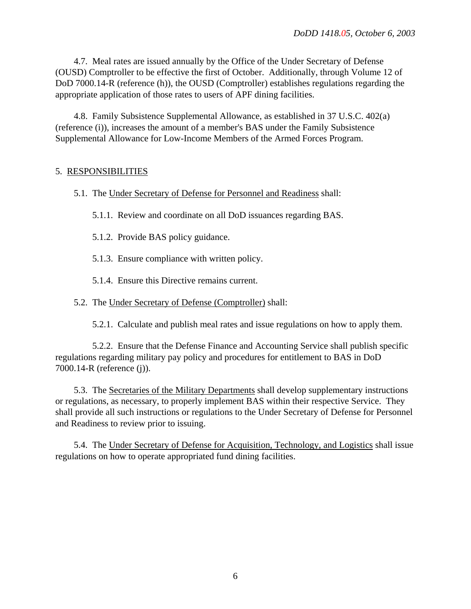4.7. Meal rates are issued annually by the Office of the Under Secretary of Defense (OUSD) Comptroller to be effective the first of October. Additionally, through Volume 12 of DoD 7000.14-R (reference (h)), the OUSD (Comptroller) establishes regulations regarding the appropriate application of those rates to users of APF dining facilities.

4.8. Family Subsistence Supplemental Allowance, as established in 37 U.S.C. 402(a) (reference (i)), increases the amount of a member's BAS under the Family Subsistence Supplemental Allowance for Low-Income Members of the Armed Forces Program.

#### 5. RESPONSIBILITIES

- 5.1. The Under Secretary of Defense for Personnel and Readiness shall:
	- 5.1.1. Review and coordinate on all DoD issuances regarding BAS.
	- 5.1.2. Provide BAS policy guidance.
	- 5.1.3. Ensure compliance with written policy.
	- 5.1.4. Ensure this Directive remains current.
- 5.2. The Under Secretary of Defense (Comptroller) shall:
	- 5.2.1. Calculate and publish meal rates and issue regulations on how to apply them.

5.2.2. Ensure that the Defense Finance and Accounting Service shall publish specific regulations regarding military pay policy and procedures for entitlement to BAS in DoD 7000.14-R (reference (j)).

5.3. The Secretaries of the Military Departments shall develop supplementary instructions or regulations, as necessary, to properly implement BAS within their respective Service. They shall provide all such instructions or regulations to the Under Secretary of Defense for Personnel and Readiness to review prior to issuing.

5.4. The Under Secretary of Defense for Acquisition, Technology, and Logistics shall issue regulations on how to operate appropriated fund dining facilities.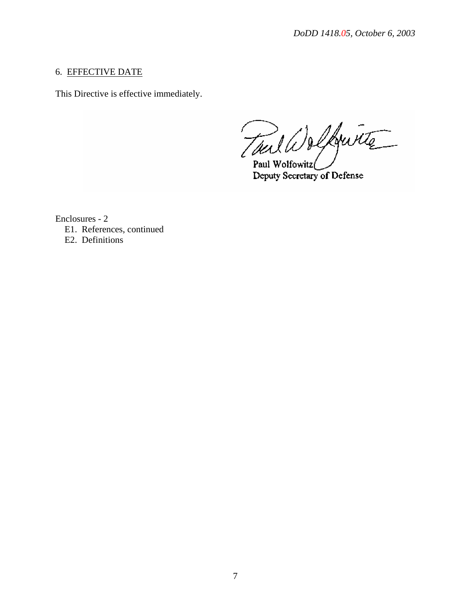### 6. EFFECTIVE DATE

This Directive is effective immediately.

Tout Welfruite Paul Wolfowitz

Deputy Secretary of Defense

Enclosures - 2

E1. References, continued

E2. Definitions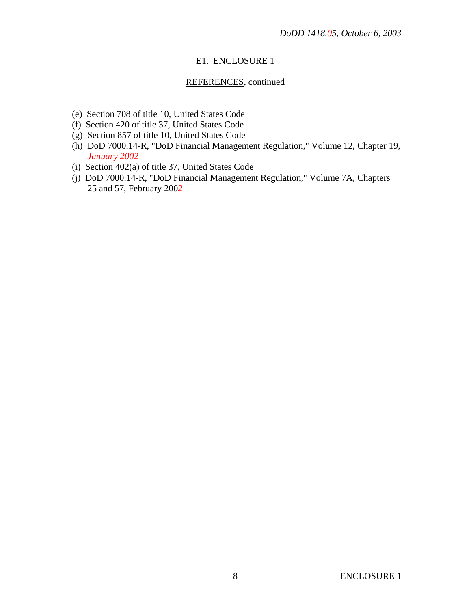## E1. ENCLOSURE 1

## REFERENCES, continued

- (e) Section 708 of title 10, United States Code
- (f) Section 420 of title 37, United States Code
- (g) Section 857 of title 10, United States Code
- (h) DoD 7000.14-R, "DoD Financial Management Regulation," Volume 12, Chapter 19, *January 2002*
- (i) Section 402(a) of title 37, United States Code
- (j) DoD 7000.14-R, "DoD Financial Management Regulation," Volume 7A, Chapters 25 and 57, February 200*2*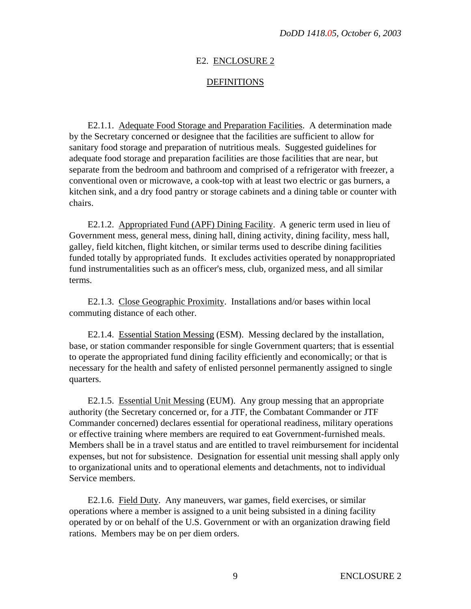## E2. ENCLOSURE 2

#### DEFINITIONS

E2.1.1. Adequate Food Storage and Preparation Facilities. A determination made by the Secretary concerned or designee that the facilities are sufficient to allow for sanitary food storage and preparation of nutritious meals. Suggested guidelines for adequate food storage and preparation facilities are those facilities that are near, but separate from the bedroom and bathroom and comprised of a refrigerator with freezer, a conventional oven or microwave, a cook-top with at least two electric or gas burners, a kitchen sink, and a dry food pantry or storage cabinets and a dining table or counter with chairs.

E2.1.2. Appropriated Fund (APF) Dining Facility. A generic term used in lieu of Government mess, general mess, dining hall, dining activity, dining facility, mess hall, galley, field kitchen, flight kitchen, or similar terms used to describe dining facilities funded totally by appropriated funds. It excludes activities operated by nonappropriated fund instrumentalities such as an officer's mess, club, organized mess, and all similar terms.

E2.1.3. Close Geographic Proximity. Installations and/or bases within local commuting distance of each other.

E2.1.4. Essential Station Messing (ESM). Messing declared by the installation, base, or station commander responsible for single Government quarters; that is essential to operate the appropriated fund dining facility efficiently and economically; or that is necessary for the health and safety of enlisted personnel permanently assigned to single quarters.

E2.1.5. Essential Unit Messing (EUM). Any group messing that an appropriate authority (the Secretary concerned or, for a JTF, the Combatant Commander or JTF Commander concerned) declares essential for operational readiness, military operations or effective training where members are required to eat Government-furnished meals. Members shall be in a travel status and are entitled to travel reimbursement for incidental expenses, but not for subsistence. Designation for essential unit messing shall apply only to organizational units and to operational elements and detachments, not to individual Service members.

E2.1.6. Field Duty. Any maneuvers, war games, field exercises, or similar operations where a member is assigned to a unit being subsisted in a dining facility operated by or on behalf of the U.S. Government or with an organization drawing field rations. Members may be on per diem orders.